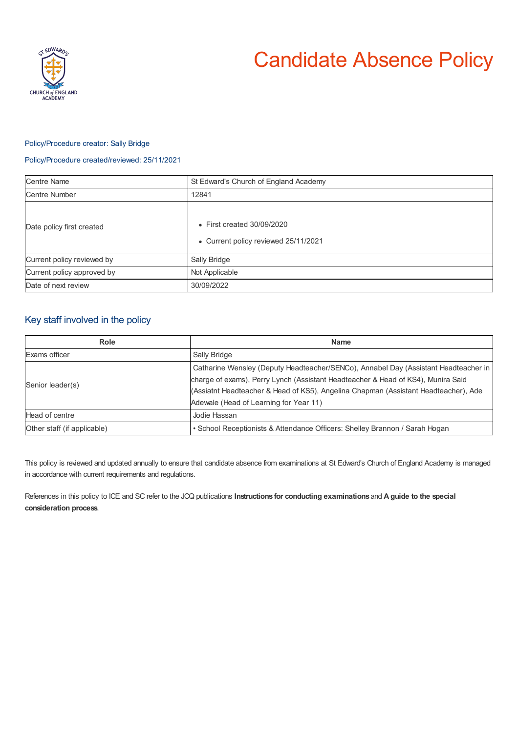

# Candidate Absence Policy

### Policy/Procedure creator: Sally Bridge

#### Policy/Procedure created/reviewed: 25/11/2021

| <b>Centre Name</b>         | St Edward's Church of England Academy                                      |
|----------------------------|----------------------------------------------------------------------------|
| Centre Number              | 12841                                                                      |
| Date policy first created  | $\bullet$ First created 30/09/2020<br>• Current policy reviewed 25/11/2021 |
| Current policy reviewed by | Sally Bridge                                                               |
| Current policy approved by | Not Applicable                                                             |
| Date of next review        | 30/09/2022                                                                 |

## Key staff involved in the policy

| Role                        | <b>Name</b>                                                                         |
|-----------------------------|-------------------------------------------------------------------------------------|
| Exams officer               | Sally Bridge                                                                        |
| Senior leader(s)            | Catharine Wensley (Deputy Headteacher/SENCo), Annabel Day (Assistant Headteacher in |
|                             | charge of exams), Perry Lynch (Assistant Headteacher & Head of KS4), Munira Said    |
|                             | (Assiatnt Headteacher & Head of KS5), Angelina Chapman (Assistant Headteacher), Ade |
|                             | Adewale (Head of Learning for Year 11)                                              |
| Head of centre              | Jodie Hassan                                                                        |
| Other staff (if applicable) | • School Receptionists & Attendance Officers: Shelley Brannon / Sarah Hogan         |

This policy is reviewed and updated annually to ensure that candidate absence from examinations at St Edward's Church of England Academy is managed in accordance with current requirements and regulations.

References in this policy to ICE and SC refer to the JCQ publications **Instructions for conducting examinations** and **A guide to the special consideration process**.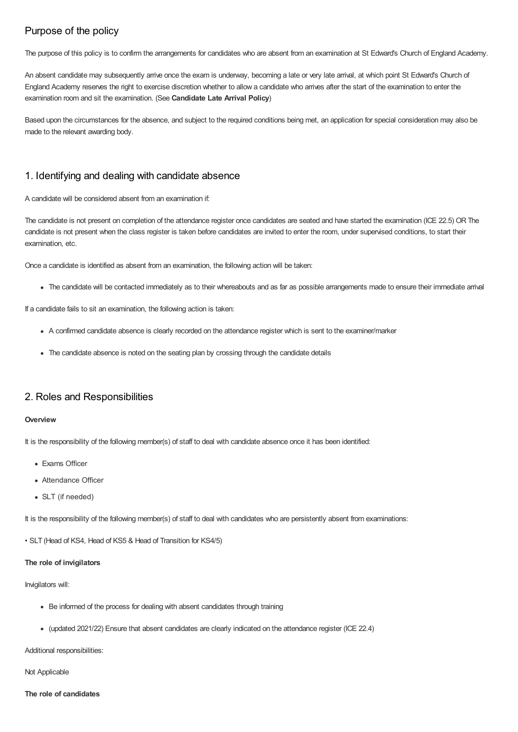# Purpose of the policy

The purpose of this policy is to confirm the arrangements for candidates who are absent from an examination at St Edward's Church of England Academy.

An absent candidate may subsequently arrive once the exam is underway, becoming a late or very late arrival, at which point St Edward's Church of England Academy reserves the right to exercise discretion whether to allow a candidate who arrives after the start of the examination to enter the examination room and sit the examination. (See **Candidate Late Arrival Policy**)

Based upon the circumstances for the absence, and subject to the required conditions being met, an application for special consideration may also be made to the relevant awarding body.

## 1. Identifying and dealing with candidate absence

A candidate will be considered absent from an examination if:

The candidate is not present on completion of the attendance register once candidates are seated and have started the examination (ICE 22.5) OR The candidate is not present when the class register is taken before candidates are invited to enter the room, under supervised conditions, to start their examination, etc.

Once a candidate is identified as absent from an examination, the following action will be taken:

The candidate will be contacted immediately as to their whereabouts and as far as possible arrangements made to ensure their immediate arrival

If a candidate fails to sit an examination, the following action is taken:

- A confirmed candidate absence is clearly recorded on the attendance register which is sent to the examiner/marker
- The candidate absence is noted on the seating plan by crossing through the candidate details

## 2. Roles and Responsibilities

#### **Overview**

It is the responsibility of the following member(s) of staff to deal with candidate absence once it has been identified:

- Exams Officer
- Attendance Officer
- SLT (if needed)

It is the responsibility of the following member(s) of staff to deal with candidates who are persistently absent from examinations:

• SLT (Head of KS4, Head of KS5 & Head of Transition for KS4/5)

#### **The role of invigilators**

#### Invigilators will:

- Be informed of the process for dealing with absent candidates through training
- (updated 2021/22) Ensure that absent candidates are clearly indicated on the attendance register (ICE 22.4)

Additional responsibilities:

Not Applicable

#### **The role of candidates**